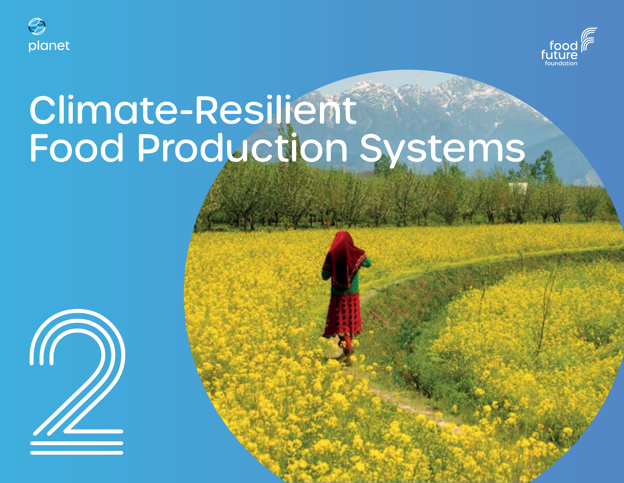



# Climate-Resilient Food Production Systems

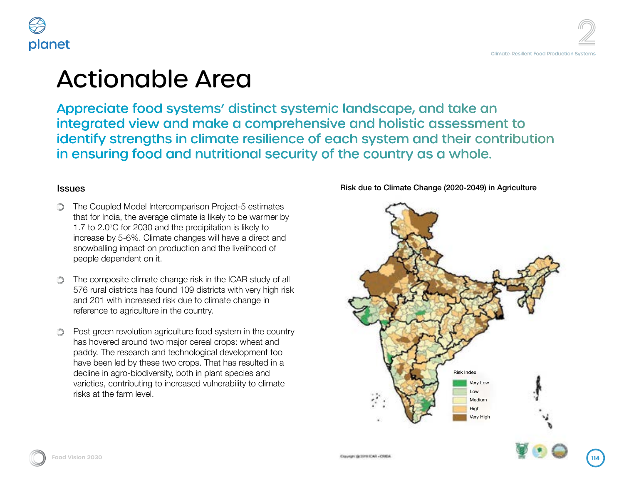

## Area

 $k$ ems' distinct systemic landscape, and take an make a comprehensive and holistic assessment to climate resilience of each system and their contribution nutritional security of the country as a whole.

rison Project-5 estimates the is likely to be warmer by recipitation is likely to lges will have a direct and bn and the livelihood of

isk in the ICAR study of all  $9$  districts with very high risk to climate change in ountry.

food system in the country tereal crops: wheat and blogical development too bs. That has resulted in a in plant species and ed vulnerability to climate

Risk due to Climate Change (2020-2049) in Agriculture





1.7 to 2.0o

people dependent on it.

risks at the farm level.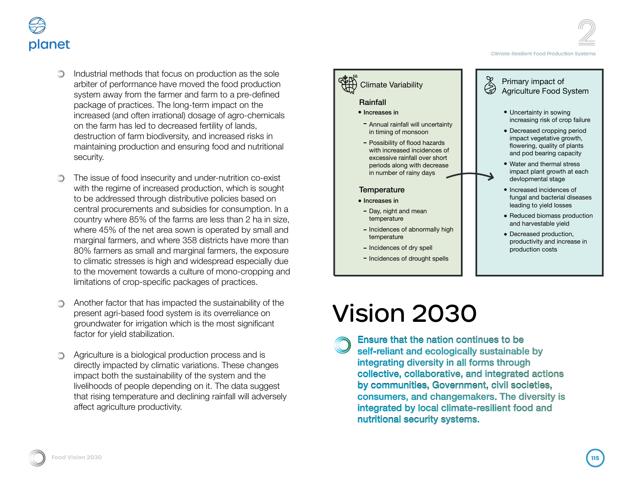Climate-Resilient Food Production Systems



- Industrial methods that focus on production as the sole arbiter of performance have moved the food production system away from the farmer and farm to a pre-defined package of practices. The long-term impact on the increased (and often irrational) dosage of agro-chemicals on the farm has led to decreased fertility of lands, destruction of farm biodiversity, and increased risks in maintaining production and ensuring food and nutritional security.
- The issue of food insecurity and under-nutrition co-exist with the regime of increased production, which is sought to be addressed through distributive policies based on central procurements and subsidies for consumption. In a country where 85% of the farms are less than 2 ha in size, where 45% of the net area sown is operated by small and marginal farmers, and where 358 districts have more than 80% farmers as small and marginal farmers, the exposure to climatic stresses is high and widespread especially due to the movement towards a culture of mono-cropping and limitations of crop-specific packages of practices.
- Another factor that has impacted the sustainability of the present agri-based food system is its overreliance on groundwater for irrigation which is the most significant factor for yield stabilization.
- Agriculture is a biological production process and is directly impacted by climatic variations. These changes impact both the sustainability of the system and the livelihoods of people depending on it. The data suggest that rising temperature and declining rainfall will adversely affect agriculture productivity.



# Vision 2030

Ensure that the nation continues to be self-reliant and ecologically sustainable by integrating diversity in all forms through collective, collaborative, and integrated actions by communities, Government, civil societies, consumers, and changemakers. The diversity is integrated by local climate-resilient food and nutritional security systems.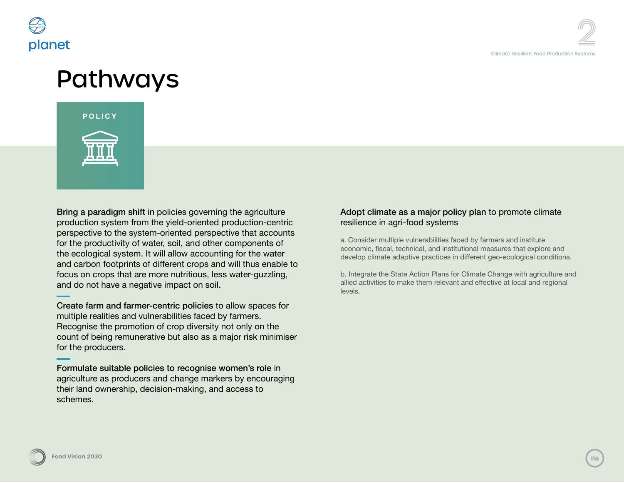



**3**Pathways Bring a paradigm shift in policies governing the agriculture production system from the yield-oriented production-centric perspective to the system-oriented perspective that accounts for the productivity of water, soil, and other components of the ecological system. It will allow accounting for the water and carbon footprints of different crops and will thus enable to focus on crops that are more nutritious, less water-guzzling, and do not have a negative impact on soil.

Create farm and farmer-centric policies to allow spaces for multiple realities and vulnerabilities faced by farmers. Recognise the promotion of crop diversity not only on the count of being remunerative but also as a major risk minimiser for the producers.

Formulate suitable policies to recognise women's role in agriculture as producers and change markers by encouraging their land ownership, decision-making, and access to schemes.

### Adopt climate as a major policy plan to promote climate resilience in agri-food systems

a. Consider multiple vulnerabilities faced by farmers and institute economic, fiscal, technical, and institutional measures that explore and develop climate adaptive practices in different geo-ecological conditions.

b. Integrate the State Action Plans for Climate Change with agriculture and allied activities to make them relevant and effective at local and regional levels.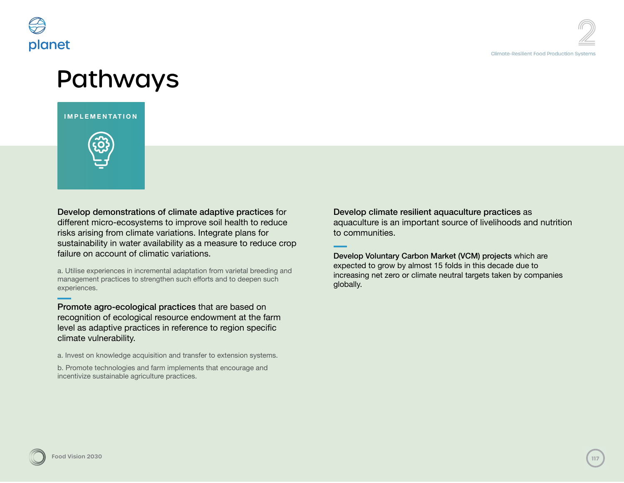

### Pathways

**IMPLEMENTATION**



Develop demonstrations of climate adaptive practices for different micro-ecosystems to improve soil health to reduce risks arising from climate variations. Integrate plans for sustainability in water availability as a measure to reduce crop failure on account of climatic variations.

a. Utilise experiences in incremental adaptation from varietal breeding and management practices to strengthen such efforts and to deepen such experiences.

Promote agro-ecological practices that are based on recognition of ecological resource endowment at the farm level as adaptive practices in reference to region specific climate vulnerability.

a. Invest on knowledge acquisition and transfer to extension systems.

b. Promote technologies and farm implements that encourage and incentivize sustainable agriculture practices.

Develop climate resilient aquaculture practices as aquaculture is an important source of livelihoods and nutrition to communities.

Develop Voluntary Carbon Market (VCM) projects which are expected to grow by almost 15 folds in this decade due to increasing net zero or climate neutral targets taken by companies globally.